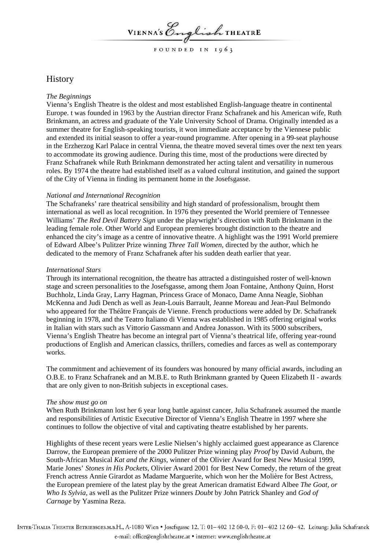VIENNA'S English THEATRE

FOUNDED IN 1963

# **History**

## *The Beginnings*

Vienna's English Theatre is the oldest and most established English-language theatre in continental Europe. t was founded in 1963 by the Austrian director Franz Schafranek and his American wife, Ruth Brinkmann, an actress and graduate of the Yale University School of Drama. Originally intended as a summer theatre for English-speaking tourists, it won immediate acceptance by the Viennese public and extended its initial season to offer a year-round programme. After opening in a 99-seat playhouse in the Erzherzog Karl Palace in central Vienna, the theatre moved several times over the next ten years to accommodate its growing audience. During this time, most of the productions were directed by Franz Schafranek while Ruth Brinkmann demonstrated her acting talent and versatility in numerous roles. By 1974 the theatre had established itself as a valued cultural institution, and gained the support of the City of Vienna in finding its permanent home in the Josefsgasse.

## *National and International Recognition*

The Schafraneks' rare theatrical sensibility and high standard of professionalism, brought them international as well as local recognition. In 1976 they presented the World premiere of Tennessee Williams' *The Red Devil Battery Sign* under the playwright's direction with Ruth Brinkmann in the leading female role. Other World and European premieres brought distinction to the theatre and enhanced the city's image as a centre of innovative theatre. A highlight was the 1991 World premiere of Edward Albee's Pulitzer Prize winning *Three Tall Women*, directed by the author, which he dedicated to the memory of Franz Schafranek after his sudden death earlier that year.

### *International Stars*

Through its international recognition, the theatre has attracted a distinguished roster of well-known stage and screen personalities to the Josefsgasse, among them Joan Fontaine, Anthony Quinn, Horst Buchholz, Linda Gray, Larry Hagman, Princess Grace of Monaco, Dame Anna Neagle, Siobhan McKenna and Judi Dench as well as Jean-Louis Barrault, Jeanne Moreau and Jean-Paul Belmondo who appeared for the Théâtre Français de Vienne. French productions were added by Dr. Schafranek beginning in 1978, and the Teatro Italiano di Vienna was established in 1985 offering original works in Italian with stars such as Vittorio Gassmann and Andrea Jonasson. With its 5000 subscribers, Vienna's English Theatre has become an integral part of Vienna's theatrical life, offering year-round productions of English and American classics, thrillers, comedies and farces as well as contemporary works.

The commitment and achievement of its founders was honoured by many official awards, including an O.B.E. to Franz Schafranek and an M.B.E. to Ruth Brinkmann granted by Queen Elizabeth II - awards that are only given to non-British subjects in exceptional cases.

### *The show must go on*

When Ruth Brinkmann lost her 6 year long battle against cancer, Julia Schafranek assumed the mantle and responsibilities of Artistic Executive Director of Vienna's English Theatre in 1997 where she continues to follow the objective of vital and captivating theatre established by her parents.

Highlights of these recent years were Leslie Nielsen's highly acclaimed guest appearance as Clarence Darrow, the European premiere of the 2000 Pulitzer Prize winning play *Proof* by David Auburn, the South-African Musical *Kat and the Kings,* winner of the Olivier Award for Best New Musical 1999, Marie Jones' *Stones in His Pockets*, Olivier Award 2001 for Best New Comedy, the return of the great French actress Annie Girardot as Madame Marguerite, which won her the Molière for Best Actress, the European premiere of the latest play by the great American dramatist Edward Albee *The Goat, or Who Is Sylvia,* as well as the Pulitzer Prize winners *Doubt* by John Patrick Shanley and *God of Carnage* by Yasmina Reza.